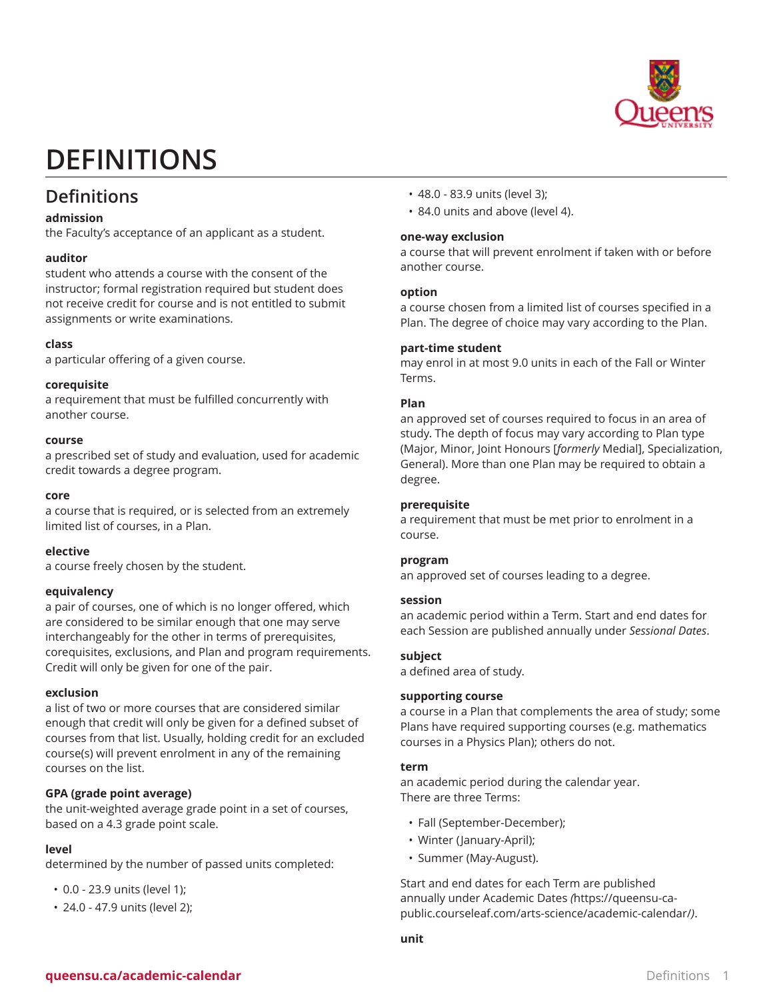

# **DEFINITIONS**

### **Definitions**

#### **admission**

the Faculty's acceptance of an applicant as a student.

#### **auditor**

student who attends a course with the consent of the instructor; formal registration required but student does not receive credit for course and is not entitled to submit assignments or write examinations.

#### **class**

a particular offering of a given course.

#### **corequisite**

a requirement that must be fulfilled concurrently with another course.

#### **course**

a prescribed set of study and evaluation, used for academic credit towards a degree program.

#### **core**

a course that is required, or is selected from an extremely limited list of courses, in a Plan.

#### **elective**

a course freely chosen by the student.

#### **equivalency**

a pair of courses, one of which is no longer offered, which are considered to be similar enough that one may serve interchangeably for the other in terms of prerequisites, corequisites, exclusions, and Plan and program requirements. Credit will only be given for one of the pair.

#### **exclusion**

a list of two or more courses that are considered similar enough that credit will only be given for a defined subset of courses from that list. Usually, holding credit for an excluded course(s) will prevent enrolment in any of the remaining courses on the list.

#### **GPA (grade point average)**

the unit-weighted average grade point in a set of courses, based on a 4.3 grade point scale.

#### **level**

determined by the number of passed units completed:

- 0.0 23.9 units (level 1);
- 24.0 47.9 units (level 2);
- 48.0 83.9 units (level 3);
- 84.0 units and above (level 4).

#### **one-way exclusion**

a course that will prevent enrolment if taken with or before another course.

#### **option**

a course chosen from a limited list of courses specified in a Plan. The degree of choice may vary according to the Plan.

#### **part-time student**

may enrol in at most 9.0 units in each of the Fall or Winter Terms.

#### **Plan**

an approved set of courses required to focus in an area of study. The depth of focus may vary according to Plan type (Major, Minor, Joint Honours [*formerly* Medial], Specialization, General). More than one Plan may be required to obtain a degree.

#### **prerequisite**

a requirement that must be met prior to enrolment in a course.

#### **program**

an approved set of courses leading to a degree.

#### **session**

an academic period within a Term. Start and end dates for each Session are published annually under *Sessional Dates*.

#### **subject**

a defined area of study.

#### **supporting course**

a course in a Plan that complements the area of study; some Plans have required supporting courses (e.g. mathematics courses in a Physics Plan); others do not.

#### **term**

an academic period during the calendar year. There are three Terms:

- Fall (September-December);
- Winter (January-April);
- Summer (May-August).

Start and end dates for each Term are published annually under [Academic Dates](https://queensu-ca-public.courseleaf.com/arts-science/academic-calendar/) *(*[https://queensu-ca](https://queensu-ca-public.courseleaf.com/arts-science/academic-calendar/)[public.courseleaf.com/arts-science/academic-calendar/](https://queensu-ca-public.courseleaf.com/arts-science/academic-calendar/)*)*.

**unit**